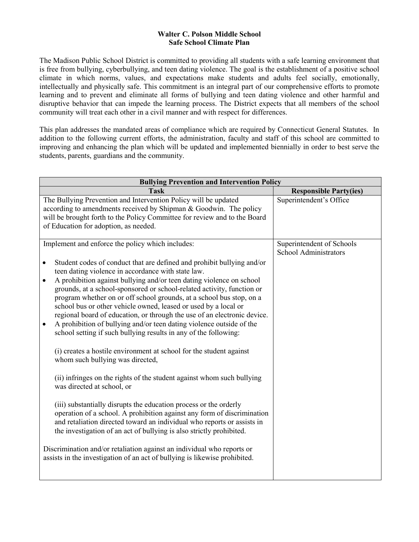## **Safe School Climate Plan Walter C. Polson Middle School**

 is free from bullying, cyberbullying, and teen dating violence. The goal is the establishment of a positive school learning and to prevent and eliminate all forms of bullying and teen dating violence and other harmful and disruptive behavior that can impede the learning process. The District expects that all members of the school The Madison Public School District is committed to providing all students with a safe learning environment that climate in which norms, values, and expectations make students and adults feel socially, emotionally, intellectually and physically safe. This commitment is an integral part of our comprehensive efforts to promote community will treat each other in a civil manner and with respect for differences.

 addition to the following current efforts, the administration, faculty and staff of this school are committed to improving and enhancing the plan which will be updated and implemented biennially in order to best serve the This plan addresses the mandated areas of compliance which are required by Connecticut General Statutes. In students, parents, guardians and the community.

| <b>Bullying Prevention and Intervention Policy</b>                                                                                                                                                                                                                                                                                                                                                                                                                                                                                                                                                                                                                                                                                                                                                                                                                                                                                                                                                                                                                                                                                                                                                                                                                                                                                                                                                                         |                                                           |  |
|----------------------------------------------------------------------------------------------------------------------------------------------------------------------------------------------------------------------------------------------------------------------------------------------------------------------------------------------------------------------------------------------------------------------------------------------------------------------------------------------------------------------------------------------------------------------------------------------------------------------------------------------------------------------------------------------------------------------------------------------------------------------------------------------------------------------------------------------------------------------------------------------------------------------------------------------------------------------------------------------------------------------------------------------------------------------------------------------------------------------------------------------------------------------------------------------------------------------------------------------------------------------------------------------------------------------------------------------------------------------------------------------------------------------------|-----------------------------------------------------------|--|
| <b>Task</b>                                                                                                                                                                                                                                                                                                                                                                                                                                                                                                                                                                                                                                                                                                                                                                                                                                                                                                                                                                                                                                                                                                                                                                                                                                                                                                                                                                                                                | <b>Responsible Party(ies)</b>                             |  |
| The Bullying Prevention and Intervention Policy will be updated<br>according to amendments received by Shipman & Goodwin. The policy<br>will be brought forth to the Policy Committee for review and to the Board<br>of Education for adoption, as needed.                                                                                                                                                                                                                                                                                                                                                                                                                                                                                                                                                                                                                                                                                                                                                                                                                                                                                                                                                                                                                                                                                                                                                                 | Superintendent's Office                                   |  |
| Implement and enforce the policy which includes:<br>Student codes of conduct that are defined and prohibit bullying and/or<br>$\bullet$<br>teen dating violence in accordance with state law.<br>A prohibition against bullying and/or teen dating violence on school<br>$\bullet$<br>grounds, at a school-sponsored or school-related activity, function or<br>program whether on or off school grounds, at a school bus stop, on a<br>school bus or other vehicle owned, leased or used by a local or<br>regional board of education, or through the use of an electronic device.<br>A prohibition of bullying and/or teen dating violence outside of the<br>$\bullet$<br>school setting if such bullying results in any of the following:<br>(i) creates a hostile environment at school for the student against<br>whom such bullying was directed,<br>(ii) infringes on the rights of the student against whom such bullying<br>was directed at school, or<br>(iii) substantially disrupts the education process or the orderly<br>operation of a school. A prohibition against any form of discrimination<br>and retaliation directed toward an individual who reports or assists in<br>the investigation of an act of bullying is also strictly prohibited.<br>Discrimination and/or retaliation against an individual who reports or<br>assists in the investigation of an act of bullying is likewise prohibited. | Superintendent of Schools<br><b>School Administrators</b> |  |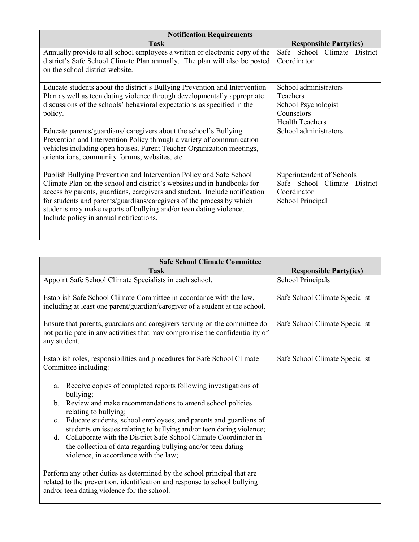| <b>Notification Requirements</b>                                             |                                 |
|------------------------------------------------------------------------------|---------------------------------|
| <b>Task</b>                                                                  | <b>Responsible Party(ies)</b>   |
| Annually provide to all school employees a written or electronic copy of the | Safe School Climate<br>District |
| district's Safe School Climate Plan annually. The plan will also be posted   | Coordinator                     |
| on the school district website.                                              |                                 |
|                                                                              |                                 |
| Educate students about the district's Bullying Prevention and Intervention   | School administrators           |
| Plan as well as teen dating violence through developmentally appropriate     | Teachers                        |
| discussions of the schools' behavioral expectations as specified in the      | School Psychologist             |
| policy.                                                                      | Counselors                      |
|                                                                              | <b>Health Teachers</b>          |
| Educate parents/guardians/ caregivers about the school's Bullying            | School administrators           |
| Prevention and Intervention Policy through a variety of communication        |                                 |
| vehicles including open houses, Parent Teacher Organization meetings,        |                                 |
| orientations, community forums, websites, etc.                               |                                 |
|                                                                              |                                 |
| Publish Bullying Prevention and Intervention Policy and Safe School          | Superintendent of Schools       |
| Climate Plan on the school and district's websites and in handbooks for      | Safe School Climate District    |
| access by parents, guardians, caregivers and student. Include notification   | Coordinator                     |
| for students and parents/guardians/caregivers of the process by which        | School Principal                |
| students may make reports of bullying and/or teen dating violence.           |                                 |
| Include policy in annual notifications.                                      |                                 |
|                                                                              |                                 |
|                                                                              |                                 |

| <b>Safe School Climate Committee</b>                                                                                                                                                                |                                |  |
|-----------------------------------------------------------------------------------------------------------------------------------------------------------------------------------------------------|--------------------------------|--|
| <b>Task</b>                                                                                                                                                                                         | <b>Responsible Party(ies)</b>  |  |
| Appoint Safe School Climate Specialists in each school.                                                                                                                                             | <b>School Principals</b>       |  |
| Establish Safe School Climate Committee in accordance with the law,<br>including at least one parent/guardian/caregiver of a student at the school.                                                 | Safe School Climate Specialist |  |
| Ensure that parents, guardians and caregivers serving on the committee do<br>not participate in any activities that may compromise the confidentiality of<br>any student.                           | Safe School Climate Specialist |  |
| Establish roles, responsibilities and procedures for Safe School Climate<br>Committee including:                                                                                                    | Safe School Climate Specialist |  |
| Receive copies of completed reports following investigations of<br>a.<br>bullying;                                                                                                                  |                                |  |
| b. Review and make recommendations to amend school policies<br>relating to bullying;                                                                                                                |                                |  |
| c. Educate students, school employees, and parents and guardians of<br>students on issues relating to bullying and/or teen dating violence;                                                         |                                |  |
| d. Collaborate with the District Safe School Climate Coordinator in<br>the collection of data regarding bullying and/or teen dating<br>violence, in accordance with the law;                        |                                |  |
| Perform any other duties as determined by the school principal that are<br>related to the prevention, identification and response to school bullying<br>and/or teen dating violence for the school. |                                |  |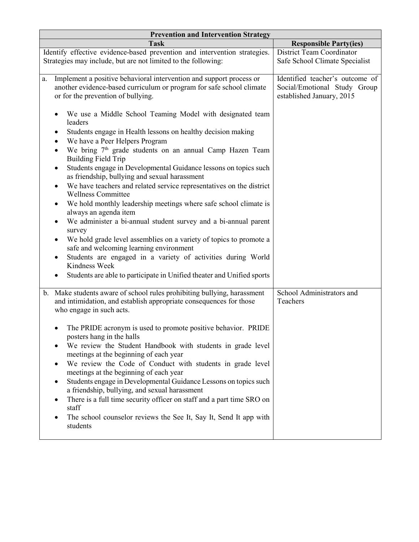| <b>Prevention and Intervention Strategy</b>                                                                   |                                 |  |
|---------------------------------------------------------------------------------------------------------------|---------------------------------|--|
| <b>Task</b>                                                                                                   | <b>Responsible Party(ies)</b>   |  |
| Identify effective evidence-based prevention and intervention strategies.                                     | District Team Coordinator       |  |
| Strategies may include, but are not limited to the following:                                                 | Safe School Climate Specialist  |  |
|                                                                                                               |                                 |  |
| Implement a positive behavioral intervention and support process or<br>a.                                     | Identified teacher's outcome of |  |
| another evidence-based curriculum or program for safe school climate                                          | Social/Emotional Study Group    |  |
| or for the prevention of bullying.                                                                            | established January, 2015       |  |
|                                                                                                               |                                 |  |
| We use a Middle School Teaming Model with designated team                                                     |                                 |  |
| leaders                                                                                                       |                                 |  |
| Students engage in Health lessons on healthy decision making                                                  |                                 |  |
| We have a Peer Helpers Program                                                                                |                                 |  |
| We bring 7 <sup>th</sup> grade students on an annual Camp Hazen Team                                          |                                 |  |
| <b>Building Field Trip</b>                                                                                    |                                 |  |
| Students engage in Developmental Guidance lessons on topics such<br>$\bullet$                                 |                                 |  |
| as friendship, bullying and sexual harassment                                                                 |                                 |  |
| We have teachers and related service representatives on the district                                          |                                 |  |
| <b>Wellness Committee</b>                                                                                     |                                 |  |
| We hold monthly leadership meetings where safe school climate is                                              |                                 |  |
| always an agenda item                                                                                         |                                 |  |
| We administer a bi-annual student survey and a bi-annual parent                                               |                                 |  |
| survey                                                                                                        |                                 |  |
| We hold grade level assemblies on a variety of topics to promote a<br>safe and welcoming learning environment |                                 |  |
| Students are engaged in a variety of activities during World                                                  |                                 |  |
| Kindness Week                                                                                                 |                                 |  |
| Students are able to participate in Unified theater and Unified sports                                        |                                 |  |
|                                                                                                               |                                 |  |
| Make students aware of school rules prohibiting bullying, harassment<br>$\mathbf{b}$ .                        | School Administrators and       |  |
| and intimidation, and establish appropriate consequences for those                                            | Teachers                        |  |
| who engage in such acts.                                                                                      |                                 |  |
|                                                                                                               |                                 |  |
| The PRIDE acronym is used to promote positive behavior. PRIDE                                                 |                                 |  |
| posters hang in the halls                                                                                     |                                 |  |
| We review the Student Handbook with students in grade level                                                   |                                 |  |
| meetings at the beginning of each year                                                                        |                                 |  |
| We review the Code of Conduct with students in grade level                                                    |                                 |  |
| meetings at the beginning of each year                                                                        |                                 |  |
| Students engage in Developmental Guidance Lessons on topics such                                              |                                 |  |
| a friendship, bullying, and sexual harassment                                                                 |                                 |  |
| There is a full time security officer on staff and a part time SRO on                                         |                                 |  |
| staff                                                                                                         |                                 |  |
| The school counselor reviews the See It, Say It, Send It app with                                             |                                 |  |
| students                                                                                                      |                                 |  |
|                                                                                                               |                                 |  |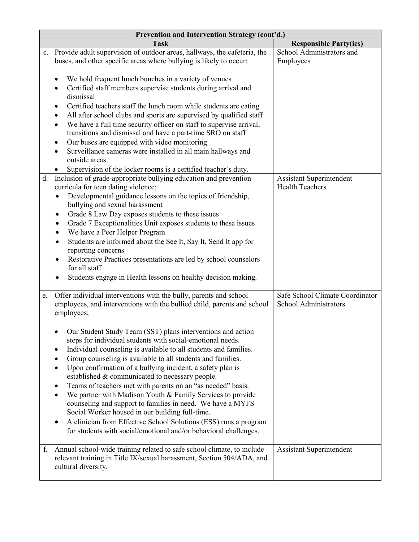|    | Prevention and Intervention Strategy (cont'd.)                                                                                                                                                                                                                                                                                                                                                                                                                                                                                                                                                                                                                                                                                                                      |                                                           |  |
|----|---------------------------------------------------------------------------------------------------------------------------------------------------------------------------------------------------------------------------------------------------------------------------------------------------------------------------------------------------------------------------------------------------------------------------------------------------------------------------------------------------------------------------------------------------------------------------------------------------------------------------------------------------------------------------------------------------------------------------------------------------------------------|-----------------------------------------------------------|--|
|    | <b>Task</b>                                                                                                                                                                                                                                                                                                                                                                                                                                                                                                                                                                                                                                                                                                                                                         | <b>Responsible Party(ies)</b>                             |  |
|    | c. Provide adult supervision of outdoor areas, hallways, the cafeteria, the<br>buses, and other specific areas where bullying is likely to occur:                                                                                                                                                                                                                                                                                                                                                                                                                                                                                                                                                                                                                   | School Administrators and<br>Employees                    |  |
|    | We hold frequent lunch bunches in a variety of venues<br>$\bullet$<br>Certified staff members supervise students during arrival and<br>dismissal<br>Certified teachers staff the lunch room while students are eating<br>٠<br>All after school clubs and sports are supervised by qualified staff<br>٠<br>We have a full time security officer on staff to supervise arrival,<br>٠<br>transitions and dismissal and have a part-time SRO on staff<br>Our buses are equipped with video monitoring<br>٠<br>Surveillance cameras were installed in all main hallways and<br>$\bullet$<br>outside areas<br>Supervision of the locker rooms is a certified teacher's duty.                                                                                              |                                                           |  |
| d. | Inclusion of grade-appropriate bullying education and prevention<br>curricula for teen dating violence;<br>Developmental guidance lessons on the topics of friendship,<br>٠<br>bullying and sexual harassment<br>Grade 8 Law Day exposes students to these issues<br>٠<br>Grade 7 Exceptionalities Unit exposes students to these issues<br>٠<br>We have a Peer Helper Program<br>$\bullet$<br>Students are informed about the See It, Say It, Send It app for<br>$\bullet$<br>reporting concerns<br>Restorative Practices presentations are led by school counselors<br>for all staff<br>Students engage in Health lessons on healthy decision making.                                                                                                             | <b>Assistant Superintendent</b><br><b>Health Teachers</b> |  |
| e. | Offer individual interventions with the bully, parents and school<br>employees, and interventions with the bullied child, parents and school<br>employees;                                                                                                                                                                                                                                                                                                                                                                                                                                                                                                                                                                                                          | Safe School Climate Coordinator<br>School Administrators  |  |
|    | Our Student Study Team (SST) plans interventions and action<br>steps for individual students with social-emotional needs.<br>Individual counseling is available to all students and families.<br>Group counseling is available to all students and families.<br>Upon confirmation of a bullying incident, a safety plan is<br>established & communicated to necessary people.<br>Teams of teachers met with parents on an "as needed" basis.<br>We partner with Madison Youth & Family Services to provide<br>counseling and support to families in need. We have a MYFS<br>Social Worker housed in our building full-time.<br>A clinician from Effective School Solutions (ESS) runs a program<br>for students with social/emotional and/or behavioral challenges. |                                                           |  |
| f. | Annual school-wide training related to safe school climate, to include<br>relevant training in Title IX/sexual harassment, Section 504/ADA, and<br>cultural diversity.                                                                                                                                                                                                                                                                                                                                                                                                                                                                                                                                                                                              | <b>Assistant Superintendent</b>                           |  |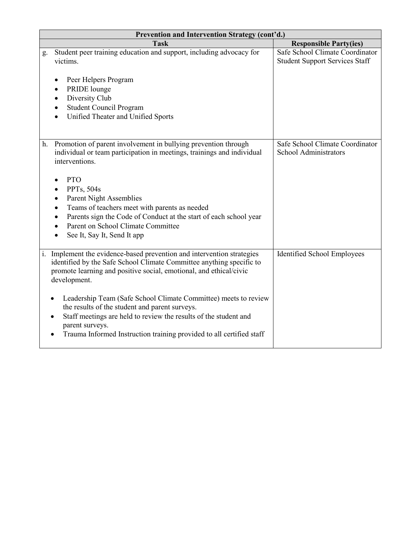|    | Prevention and Intervention Strategy (cont'd.)                                                                                                                                                                                                                                                             |                                                                          |  |
|----|------------------------------------------------------------------------------------------------------------------------------------------------------------------------------------------------------------------------------------------------------------------------------------------------------------|--------------------------------------------------------------------------|--|
|    | <b>Task</b>                                                                                                                                                                                                                                                                                                | <b>Responsible Party(ies)</b>                                            |  |
| g. | Student peer training education and support, including advocacy for<br>victims.                                                                                                                                                                                                                            | Safe School Climate Coordinator<br><b>Student Support Services Staff</b> |  |
|    | Peer Helpers Program<br>PRIDE lounge<br>Diversity Club<br><b>Student Council Program</b><br>Unified Theater and Unified Sports<br>$\bullet$                                                                                                                                                                |                                                                          |  |
|    | h. Promotion of parent involvement in bullying prevention through<br>individual or team participation in meetings, trainings and individual<br>interventions.                                                                                                                                              | Safe School Climate Coordinator<br><b>School Administrators</b>          |  |
|    | <b>PTO</b>                                                                                                                                                                                                                                                                                                 |                                                                          |  |
|    | <b>PPTs, 504s</b>                                                                                                                                                                                                                                                                                          |                                                                          |  |
|    | Parent Night Assemblies<br>٠                                                                                                                                                                                                                                                                               |                                                                          |  |
|    | Teams of teachers meet with parents as needed                                                                                                                                                                                                                                                              |                                                                          |  |
|    | Parents sign the Code of Conduct at the start of each school year<br>Parent on School Climate Committee                                                                                                                                                                                                    |                                                                          |  |
|    | See It, Say It, Send It app                                                                                                                                                                                                                                                                                |                                                                          |  |
|    |                                                                                                                                                                                                                                                                                                            |                                                                          |  |
|    | i. Implement the evidence-based prevention and intervention strategies<br>identified by the Safe School Climate Committee anything specific to<br>promote learning and positive social, emotional, and ethical/civic<br>development.                                                                       | Identified School Employees                                              |  |
|    | Leadership Team (Safe School Climate Committee) meets to review<br>$\bullet$<br>the results of the student and parent surveys.<br>Staff meetings are held to review the results of the student and<br>$\bullet$<br>parent surveys.<br>Trauma Informed Instruction training provided to all certified staff |                                                                          |  |
|    |                                                                                                                                                                                                                                                                                                            |                                                                          |  |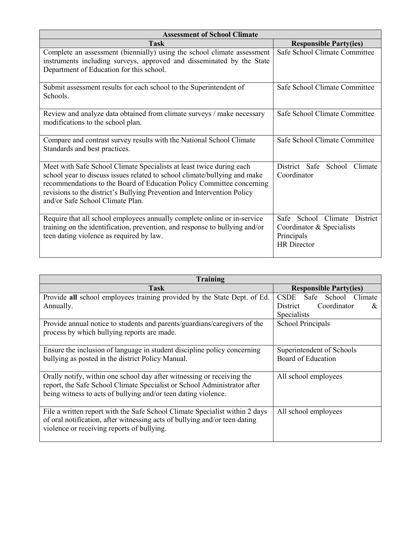| <b>Assessment of School Climate</b>                                                                                                                                                                                                                                                                                                       |                                                                                                         |
|-------------------------------------------------------------------------------------------------------------------------------------------------------------------------------------------------------------------------------------------------------------------------------------------------------------------------------------------|---------------------------------------------------------------------------------------------------------|
| <b>Task</b>                                                                                                                                                                                                                                                                                                                               | <b>Responsible Party(ies)</b>                                                                           |
| Complete an assessment (biennially) using the school climate assessment<br>instruments including surveys, approved and disseminated by the State<br>Department of Education for this school.                                                                                                                                              | Safe School Climate Committee                                                                           |
| Submit assessment results for each school to the Superintendent of<br>Schools.                                                                                                                                                                                                                                                            | Safe School Climate Committee                                                                           |
| Review and analyze data obtained from climate surveys / make necessary<br>modifications to the school plan.                                                                                                                                                                                                                               | Safe School Climate Committee                                                                           |
| Compare and contrast survey results with the National School Climate<br>Standards and best practices.                                                                                                                                                                                                                                     | Safe School Climate Committee                                                                           |
| Meet with Safe School Climate Specialists at least twice during each<br>school year to discuss issues related to school climate/bullying and make<br>recommendations to the Board of Education Policy Committee concerning<br>revisions to the district's Bullying Prevention and Intervention Policy<br>and/or Safe School Climate Plan. | District Safe<br>Climate<br>School<br>Coordinator                                                       |
| Require that all school employees annually complete online or in-service<br>training on the identification, prevention, and response to bullying and/or<br>teen dating violence as required by law.                                                                                                                                       | School Climate District<br><b>Safe</b><br>Coordinator & Specialists<br>Principals<br><b>HR</b> Director |

| <b>Training</b>                                                                                                                                                                                                      |                                     |
|----------------------------------------------------------------------------------------------------------------------------------------------------------------------------------------------------------------------|-------------------------------------|
| <b>Task</b>                                                                                                                                                                                                          | <b>Responsible Party(ies)</b>       |
| Provide all school employees training provided by the State Dept. of Ed.                                                                                                                                             | CSDE Safe<br>School Climate         |
| Annually.                                                                                                                                                                                                            | Coordinator<br><b>District</b><br>& |
|                                                                                                                                                                                                                      | Specialists                         |
| Provide annual notice to students and parents/guardians/caregivers of the<br>process by which bullying reports are made.                                                                                             | <b>School Principals</b>            |
| Ensure the inclusion of language in student discipline policy concerning                                                                                                                                             | Superintendent of Schools           |
| bullying as posted in the district Policy Manual.                                                                                                                                                                    | Board of Education                  |
| Orally notify, within one school day after witnessing or receiving the<br>report, the Safe School Climate Specialist or School Administrator after<br>being witness to acts of bullying and/or teen dating violence. | All school employees                |
| File a written report with the Safe School Climate Specialist within 2 days<br>of oral notification, after witnessing acts of bullying and/or teen dating<br>violence or receiving reports of bullying.              | All school employees                |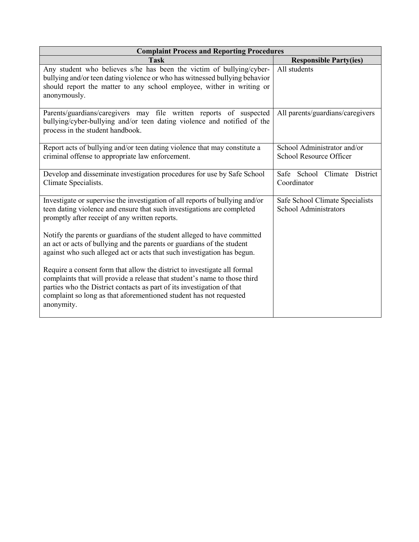| <b>Complaint Process and Reporting Procedures</b>                                                                                                                                                                                                                                                                   |                                                                 |
|---------------------------------------------------------------------------------------------------------------------------------------------------------------------------------------------------------------------------------------------------------------------------------------------------------------------|-----------------------------------------------------------------|
| <b>Task</b>                                                                                                                                                                                                                                                                                                         | <b>Responsible Party(ies)</b>                                   |
| Any student who believes s/he has been the victim of bullying/cyber-<br>bullying and/or teen dating violence or who has witnessed bullying behavior<br>should report the matter to any school employee, wither in writing or<br>anonymously.                                                                        | All students                                                    |
| Parents/guardians/caregivers may file written reports of suspected<br>bullying/cyber-bullying and/or teen dating violence and notified of the<br>process in the student handbook.                                                                                                                                   | All parents/guardians/caregivers                                |
| Report acts of bullying and/or teen dating violence that may constitute a<br>criminal offense to appropriate law enforcement.                                                                                                                                                                                       | School Administrator and/or<br>School Resource Officer          |
| Develop and disseminate investigation procedures for use by Safe School<br>Climate Specialists.                                                                                                                                                                                                                     | Safe School Climate District<br>Coordinator                     |
| Investigate or supervise the investigation of all reports of bullying and/or<br>teen dating violence and ensure that such investigations are completed<br>promptly after receipt of any written reports.                                                                                                            | Safe School Climate Specialists<br><b>School Administrators</b> |
| Notify the parents or guardians of the student alleged to have committed<br>an act or acts of bullying and the parents or guardians of the student<br>against who such alleged act or acts that such investigation has begun.                                                                                       |                                                                 |
| Require a consent form that allow the district to investigate all formal<br>complaints that will provide a release that student's name to those third<br>parties who the District contacts as part of its investigation of that<br>complaint so long as that aforementioned student has not requested<br>anonymity. |                                                                 |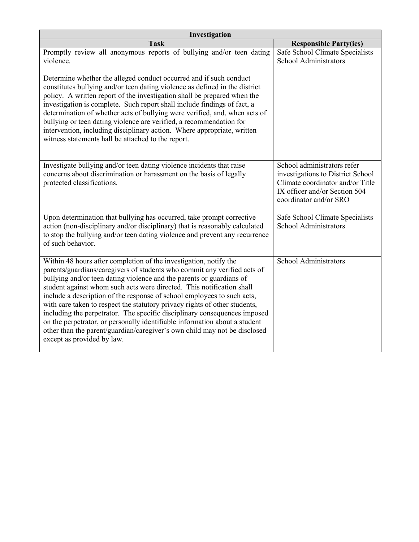| Investigation                                                                                                                                                                                                                                                                                                                                                                                                                                                                                                                                                                                                                                                                                                                 |                                                                                                                                                                 |  |
|-------------------------------------------------------------------------------------------------------------------------------------------------------------------------------------------------------------------------------------------------------------------------------------------------------------------------------------------------------------------------------------------------------------------------------------------------------------------------------------------------------------------------------------------------------------------------------------------------------------------------------------------------------------------------------------------------------------------------------|-----------------------------------------------------------------------------------------------------------------------------------------------------------------|--|
| <b>Task</b>                                                                                                                                                                                                                                                                                                                                                                                                                                                                                                                                                                                                                                                                                                                   | <b>Responsible Party(ies)</b>                                                                                                                                   |  |
| Promptly review all anonymous reports of bullying and/or teen dating<br>violence.                                                                                                                                                                                                                                                                                                                                                                                                                                                                                                                                                                                                                                             | Safe School Climate Specialists<br>School Administrators                                                                                                        |  |
| Determine whether the alleged conduct occurred and if such conduct<br>constitutes bullying and/or teen dating violence as defined in the district<br>policy. A written report of the investigation shall be prepared when the<br>investigation is complete. Such report shall include findings of fact, a<br>determination of whether acts of bullying were verified, and, when acts of<br>bullying or teen dating violence are verified, a recommendation for<br>intervention, including disciplinary action. Where appropriate, written<br>witness statements hall be attached to the report.                                                                                                                               |                                                                                                                                                                 |  |
| Investigate bullying and/or teen dating violence incidents that raise<br>concerns about discrimination or harassment on the basis of legally<br>protected classifications.                                                                                                                                                                                                                                                                                                                                                                                                                                                                                                                                                    | School administrators refer<br>investigations to District School<br>Climate coordinator and/or Title<br>IX officer and/or Section 504<br>coordinator and/or SRO |  |
| Upon determination that bullying has occurred, take prompt corrective<br>action (non-disciplinary and/or disciplinary) that is reasonably calculated<br>to stop the bullying and/or teen dating violence and prevent any recurrence<br>of such behavior.                                                                                                                                                                                                                                                                                                                                                                                                                                                                      | Safe School Climate Specialists<br><b>School Administrators</b>                                                                                                 |  |
| Within 48 hours after completion of the investigation, notify the<br>parents/guardians/caregivers of students who commit any verified acts of<br>bullying and/or teen dating violence and the parents or guardians of<br>student against whom such acts were directed. This notification shall<br>include a description of the response of school employees to such acts,<br>with care taken to respect the statutory privacy rights of other students,<br>including the perpetrator. The specific disciplinary consequences imposed<br>on the perpetrator, or personally identifiable information about a student<br>other than the parent/guardian/caregiver's own child may not be disclosed<br>except as provided by law. | School Administrators                                                                                                                                           |  |